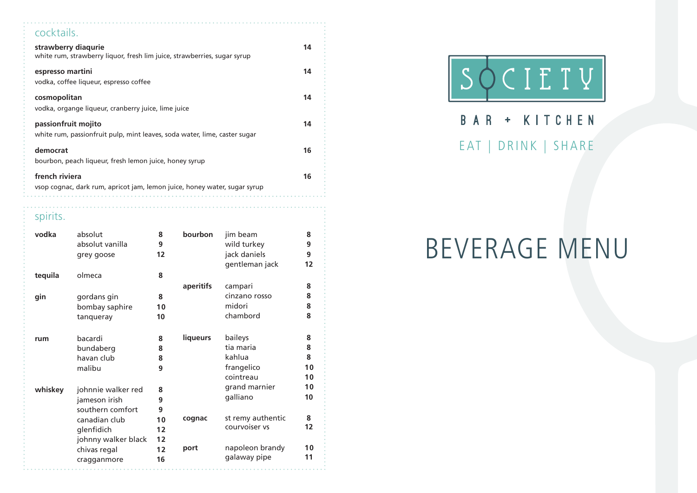### cocktails. **strawberry diaqurie 14** white rum, strawberry liquor, fresh lim juice, strawberries, sugar syrup **espresso martini 14** vodka, coffee liqueur, espresso coffee **cosmopolitan 14** vodka, organge liqueur, cranberry juice, lime juice **passionfruit mojito 14** white rum, passionfruit pulp, mint leaves, soda water, lime, caster sugar **democrat 16** bourbon, peach liqueur, fresh lemon juice, honey syrup **french riviera 16** vsop cognac, dark rum, apricot jam, lemon juice, honey water, sugar syrup

### spirits.

| vodka   | absolut<br>absolut vanilla<br>grey goose | 8<br>9<br>12 | bourbon         | jim beam<br>wild turkey<br>jack daniels<br>gentleman jack | 8<br>9<br>9<br>12 |
|---------|------------------------------------------|--------------|-----------------|-----------------------------------------------------------|-------------------|
| tequila | olmeca                                   | 8            |                 |                                                           |                   |
|         |                                          |              | aperitifs       | campari                                                   | 8                 |
| gin     | gordans gin                              | 8            |                 | cinzano rosso                                             | 8                 |
|         | bombay saphire                           | 10           |                 | midori                                                    | 8                 |
|         | tanqueray                                | 10           |                 | chambord                                                  | 8                 |
|         |                                          |              |                 |                                                           |                   |
| rum     | bacardi                                  | 8            | <b>liqueurs</b> | baileys                                                   | 8                 |
|         | bundaberg                                | 8            |                 | tia maria                                                 | 8                 |
|         | havan club                               | 8            |                 | kahlua                                                    | 8                 |
|         | malibu                                   | 9            |                 | frangelico                                                | 10                |
|         |                                          |              |                 | cointreau                                                 | 10                |
| whiskey | johnnie walker red                       | 8            |                 | grand marnier                                             | 10                |
|         | jameson irish                            | 9            |                 | galliano                                                  | 10                |
|         | southern comfort                         | 9            |                 |                                                           |                   |
|         | canadian club                            | 10           | cognac          | st remy authentic                                         | 8                 |
|         | glenfidich                               | 12           |                 | courvoiser vs                                             | 12                |
|         | johnny walker black                      | 12           |                 |                                                           |                   |
|         | chivas regal                             | 12           | port            | napoleon brandy                                           | 10                |
|         | cragganmore                              | 16           |                 | galaway pipe                                              | 11                |
|         |                                          |              |                 |                                                           |                   |



# BAR + KITCHEN EAT | DRINK | SHARE

# BEVERAGE MENU